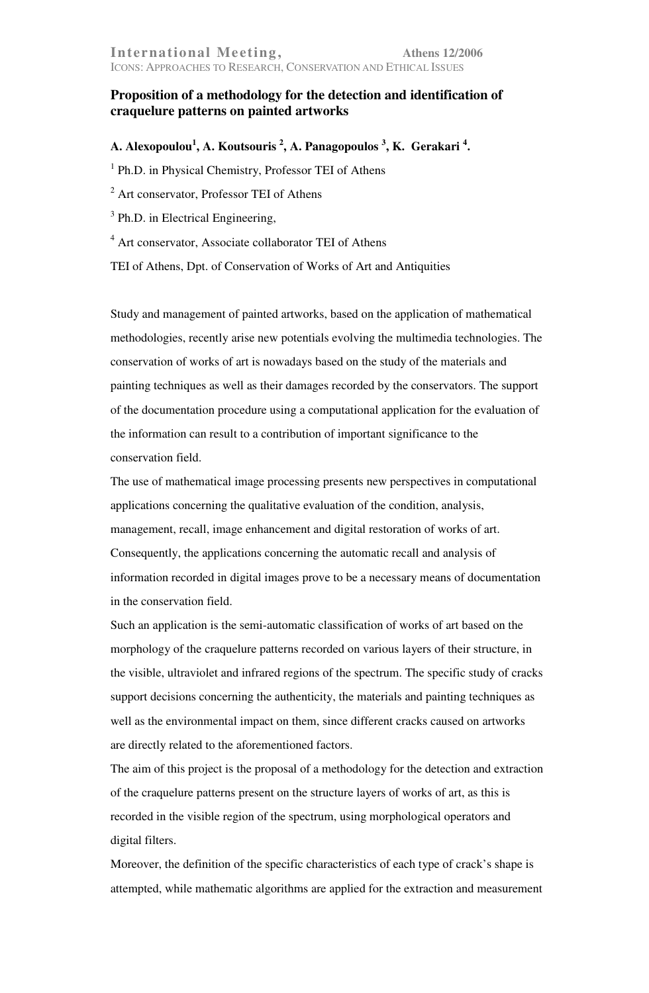## **Proposition of a methodology for the detection and identification of craquelure patterns on painted artworks**

**A. Alexopoulou<sup>1</sup> , A. Koutsouris <sup>2</sup> , A. Panagopoulos <sup>3</sup> , K. Gerakari <sup>4</sup> .** 

<sup>1</sup> Ph.D. in Physical Chemistry, Professor TEI of Athens

<sup>2</sup> Art conservator, Professor TEI of Athens

 $3$  Ph.D. in Electrical Engineering,

<sup>4</sup> Art conservator, Associate collaborator TEI of Athens

TEI of Athens, Dpt. of Conservation of Works of Art and Antiquities

Study and management of painted artworks, based on the application of mathematical methodologies, recently arise new potentials evolving the multimedia technologies. The conservation of works of art is nowadays based on the study of the materials and painting techniques as well as their damages recorded by the conservators. The support of the documentation procedure using a computational application for the evaluation of the information can result to a contribution of important significance to the conservation field.

The use of mathematical image processing presents new perspectives in computational applications concerning the qualitative evaluation of the condition, analysis, management, recall, image enhancement and digital restoration of works of art. Consequently, the applications concerning the automatic recall and analysis of information recorded in digital images prove to be a necessary means of documentation in the conservation field.

Such an application is the semi-automatic classification of works of art based on the morphology of the craquelure patterns recorded on various layers of their structure, in the visible, ultraviolet and infrared regions of the spectrum. The specific study of cracks support decisions concerning the authenticity, the materials and painting techniques as well as the environmental impact on them, since different cracks caused on artworks are directly related to the aforementioned factors.

The aim of this project is the proposal of a methodology for the detection and extraction of the craquelure patterns present on the structure layers of works of art, as this is recorded in the visible region of the spectrum, using morphological operators and digital filters.

Moreover, the definition of the specific characteristics of each type of crack's shape is attempted, while mathematic algorithms are applied for the extraction and measurement